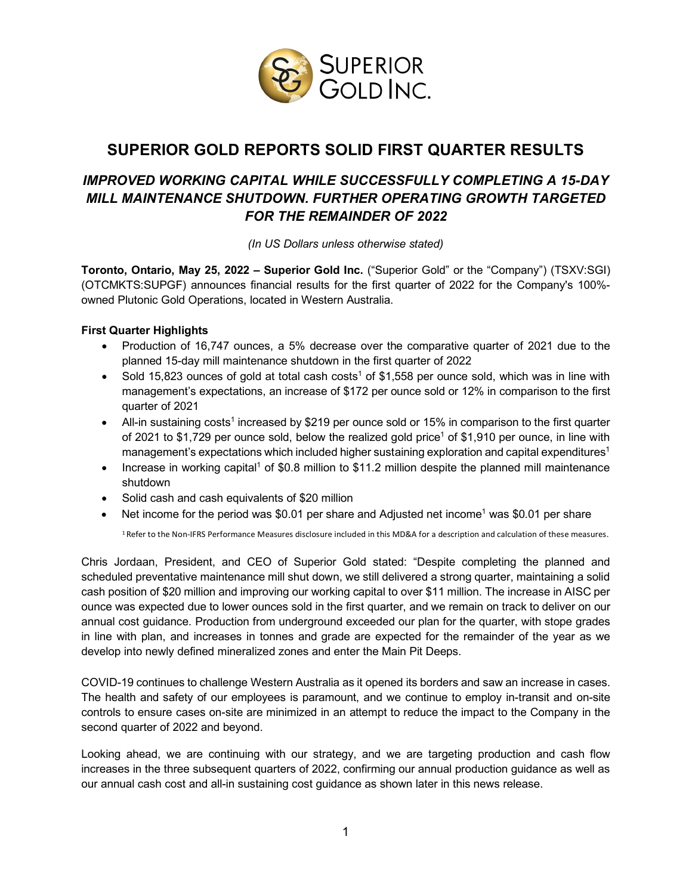

# **SUPERIOR GOLD REPORTS SOLID FIRST QUARTER RESULTS**

# *IMPROVED WORKING CAPITAL WHILE SUCCESSFULLY COMPLETING A 15-DAY MILL MAINTENANCE SHUTDOWN. FURTHER OPERATING GROWTH TARGETED FOR THE REMAINDER OF 2022*

*(In US Dollars unless otherwise stated)* 

**Toronto, Ontario, May 25, 2022 – Superior Gold Inc.** ("Superior Gold" or the "Company") (TSXV:SGI) (OTCMKTS:SUPGF) announces financial results for the first quarter of 2022 for the Company's 100% owned Plutonic Gold Operations, located in Western Australia.

# **First Quarter Highlights**

- Production of 16,747 ounces, a 5% decrease over the comparative quarter of 2021 due to the planned 15-day mill maintenance shutdown in the first quarter of 2022
- Sold 15,823 ounces of gold at total cash costs<sup>1</sup> of \$1,558 per ounce sold, which was in line with management's expectations, an increase of \$172 per ounce sold or 12% in comparison to the first quarter of 2021
- All-in sustaining costs<sup>1</sup> increased by \$219 per ounce sold or 15% in comparison to the first quarter of 2021 to \$1,729 per ounce sold, below the realized gold price<sup>1</sup> of \$1,910 per ounce, in line with management's expectations which included higher sustaining exploration and capital expenditures<sup>1</sup>
- Increase in working capital<sup>1</sup> of \$0.8 million to \$11.2 million despite the planned mill maintenance shutdown
- Solid cash and cash equivalents of \$20 million
- Net income for the period was \$0.01 per share and Adjusted net income<sup>1</sup> was \$0.01 per share

<sup>1</sup> Refer to the Non-IFRS Performance Measures disclosure included in this MD&A for a description and calculation of these measures.

Chris Jordaan, President, and CEO of Superior Gold stated: "Despite completing the planned and scheduled preventative maintenance mill shut down, we still delivered a strong quarter, maintaining a solid cash position of \$20 million and improving our working capital to over \$11 million. The increase in AISC per ounce was expected due to lower ounces sold in the first quarter, and we remain on track to deliver on our annual cost guidance. Production from underground exceeded our plan for the quarter, with stope grades in line with plan, and increases in tonnes and grade are expected for the remainder of the year as we develop into newly defined mineralized zones and enter the Main Pit Deeps.

COVID-19 continues to challenge Western Australia as it opened its borders and saw an increase in cases. The health and safety of our employees is paramount, and we continue to employ in-transit and on-site controls to ensure cases on-site are minimized in an attempt to reduce the impact to the Company in the second quarter of 2022 and beyond.

Looking ahead, we are continuing with our strategy, and we are targeting production and cash flow increases in the three subsequent quarters of 2022, confirming our annual production guidance as well as our annual cash cost and all-in sustaining cost guidance as shown later in this news release.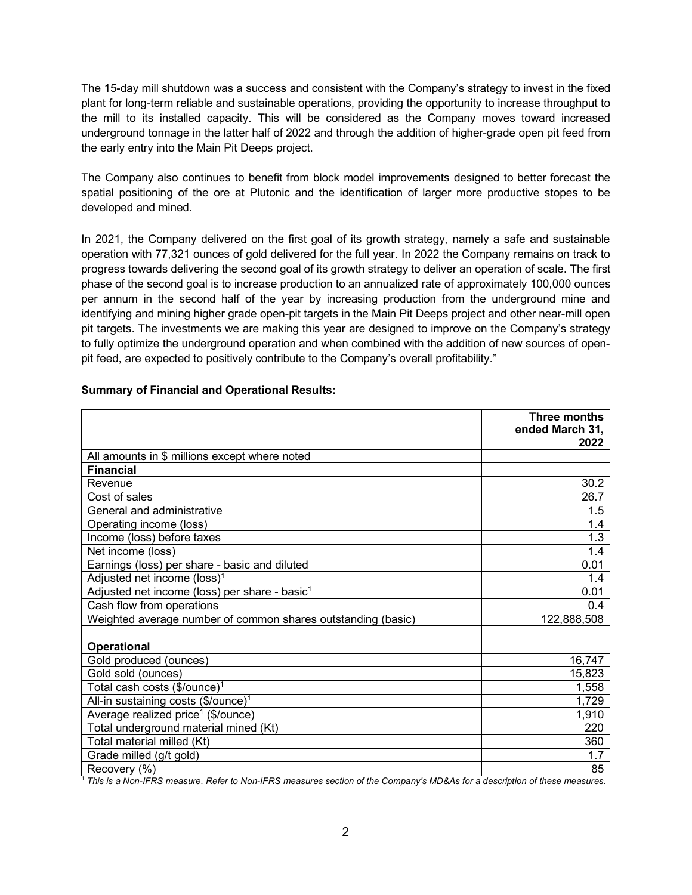The 15-day mill shutdown was a success and consistent with the Company's strategy to invest in the fixed plant for long-term reliable and sustainable operations, providing the opportunity to increase throughput to the mill to its installed capacity. This will be considered as the Company moves toward increased underground tonnage in the latter half of 2022 and through the addition of higher-grade open pit feed from the early entry into the Main Pit Deeps project.

The Company also continues to benefit from block model improvements designed to better forecast the spatial positioning of the ore at Plutonic and the identification of larger more productive stopes to be developed and mined.

In 2021, the Company delivered on the first goal of its growth strategy, namely a safe and sustainable operation with 77,321 ounces of gold delivered for the full year. In 2022 the Company remains on track to progress towards delivering the second goal of its growth strategy to deliver an operation of scale. The first phase of the second goal is to increase production to an annualized rate of approximately 100,000 ounces per annum in the second half of the year by increasing production from the underground mine and identifying and mining higher grade open-pit targets in the Main Pit Deeps project and other near-mill open pit targets. The investments we are making this year are designed to improve on the Company's strategy to fully optimize the underground operation and when combined with the addition of new sources of openpit feed, are expected to positively contribute to the Company's overall profitability."

|                                                              | Three months<br>ended March 31, |
|--------------------------------------------------------------|---------------------------------|
|                                                              | 2022                            |
| All amounts in \$ millions except where noted                |                                 |
| <b>Financial</b>                                             |                                 |
| Revenue                                                      | 30.2                            |
| Cost of sales                                                | 26.7                            |
| General and administrative                                   | 1.5                             |
| Operating income (loss)                                      | 1.4                             |
| Income (loss) before taxes                                   | 1.3                             |
| Net income (loss)                                            | 1.4                             |
| Earnings (loss) per share - basic and diluted                | 0.01                            |
| Adjusted net income (loss) <sup>1</sup>                      | 1.4                             |
| Adjusted net income (loss) per share - basic <sup>1</sup>    | 0.01                            |
| Cash flow from operations                                    | 0.4                             |
| Weighted average number of common shares outstanding (basic) | 122,888,508                     |
|                                                              |                                 |
| <b>Operational</b>                                           |                                 |
| Gold produced (ounces)                                       | 16,747                          |
| Gold sold (ounces)                                           | 15,823                          |
| Total cash costs (\$/ounce) <sup>1</sup>                     | 1,558                           |
| All-in sustaining costs (\$/ounce) <sup>1</sup>              | 1,729                           |
| Average realized price <sup>1</sup> (\$/ounce)               | 1,910                           |
| Total underground material mined (Kt)                        | 220                             |
| Total material milled (Kt)                                   | 360                             |
| Grade milled (g/t gold)                                      | 1.7                             |
| Recovery (%)                                                 | 85                              |

# **Summary of Financial and Operational Results:**

<sup>1</sup> *This is a Non-IFRS measure. Refer to Non-IFRS measures section of the Company's MD&As for a description of these measures.*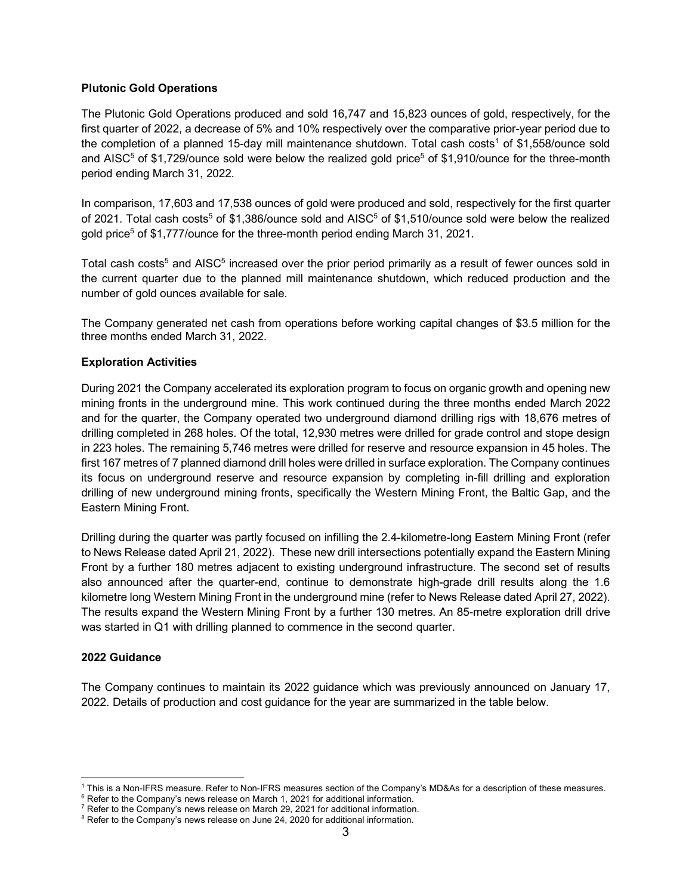# **Plutonic Gold Operations**

The Plutonic Gold Operations produced and sold 16,747 and 15,823 ounces of gold, respectively, for the first quarter of 2022, a decrease of 5% and 10% respectively over the comparative prior-year period due to the completion of a planned 15-day mill maintenance shutdown. Total cash costs<sup>1</sup> of \$1,558/ounce sold and AISC<sup>5</sup> of \$1,729/ounce sold were below the realized gold price<sup>5</sup> of \$1,910/ounce for the three-month period ending March 31, 2022.

In comparison, 17,603 and 17,538 ounces of gold were produced and sold, respectively for the first quarter of 2021. Total cash costs<sup>5</sup> of \$1,386/ounce sold and AISC<sup>5</sup> of \$1,510/ounce sold were below the realized gold price<sup>5</sup> of \$1,777/ounce for the three-month period ending March 31, 2021.

Total cash costs<sup>5</sup> and AISC<sup>5</sup> increased over the prior period primarily as a result of fewer ounces sold in the current quarter due to the planned mill maintenance shutdown, which reduced production and the number of gold ounces available for sale.

The Company generated net cash from operations before working capital changes of \$3.5 million for the three months ended March 31, 2022.

#### **Exploration Activities**

During 2021 the Company accelerated its exploration program to focus on organic growth and opening new mining fronts in the underground mine. This work continued during the three months ended March 2022 and for the quarter, the Company operated two underground diamond drilling rigs with 18,676 metres of drilling completed in 268 holes. Of the total, 12,930 metres were drilled for grade control and stope design in 223 holes. The remaining 5,746 metres were drilled for reserve and resource expansion in 45 holes. The first 167 metres of 7 planned diamond drill holes were drilled in surface exploration. The Company continues its focus on underground reserve and resource expansion by completing in-fill drilling and exploration drilling of new underground mining fronts, specifically the Western Mining Front, the Baltic Gap, and the Eastern Mining Front.

Drilling during the quarter was partly focused on infilling the 2.4-kilometre-long Eastern Mining Front (refer to News Release dated April 21, 2022). These new drill intersections potentially expand the Eastern Mining Front by a further 180 metres adjacent to existing underground infrastructure. The second set of results also announced after the quarter-end, continue to demonstrate high-grade drill results along the 1.6 kilometre long Western Mining Front in the underground mine (refer to News Release dated April 27, 2022). The results expand the Western Mining Front by a further 130 metres. An 85-metre exploration drill drive was started in Q1 with drilling planned to commence in the second quarter.

#### **2022 Guidance**

The Company continues to maintain its 2022 guidance which was previously announced on January 17, 2022. Details of production and cost guidance for the year are summarized in the table below.

<sup>1</sup> This is a Non-IFRS measure. Refer to Non-IFRS measures section of the Company's MD&As for a description of these measures.

<span id="page-2-0"></span> $6$  Refer to the Company's news release on March 1, 2021 for additional information.

 $7$  Refer to the Company's news release on March 29, 2021 for additional information.

 $8$  Refer to the Company's news release on June 24, 2020 for additional information.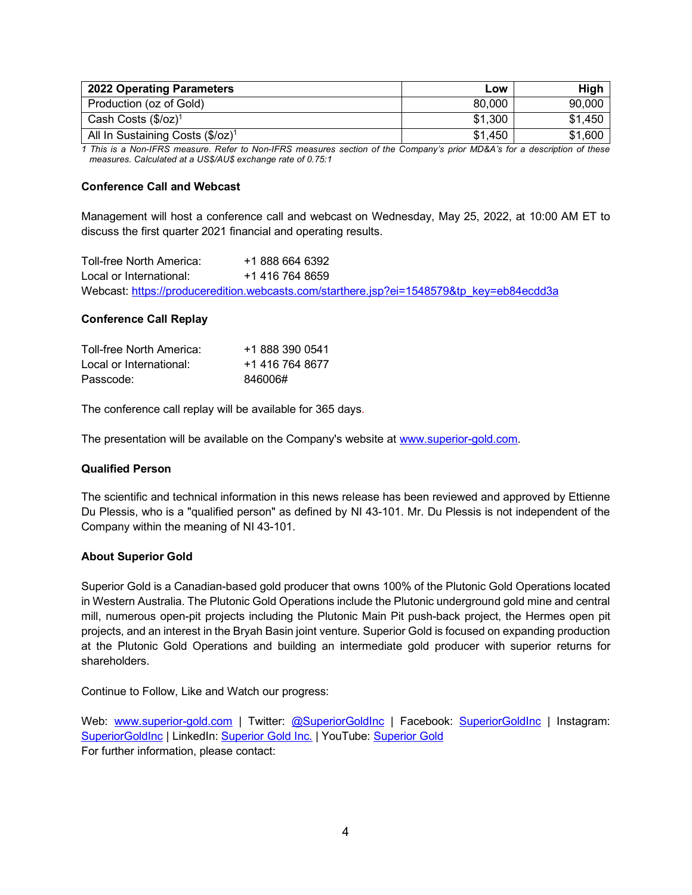| <b>2022 Operating Parameters</b>             | Low     | High    |
|----------------------------------------------|---------|---------|
| Production (oz of Gold)                      | 80,000  | 90,000  |
| Cash Costs $(\frac{6}{2})^1$                 | \$1,300 | \$1,450 |
| All In Sustaining Costs (\$/oz) <sup>1</sup> | \$1,450 | \$1,600 |

*1 This is a Non-IFRS measure. Refer to Non-IFRS measures section of the Company's prior MD&A's for a description of these measures. Calculated at a US\$/AU\$ exchange rate of 0.75:1*

#### **Conference Call and Webcast**

Management will host a conference call and webcast on Wednesday, May 25, 2022, at 10:00 AM ET to discuss the first quarter 2021 financial and operating results.

Toll-free North America: +1 888 664 6392 Local or International: +1 416 764 8659 Webcast: [https://produceredition.webcasts.com/starthere.jsp?ei=1548579&tp\\_key=eb84ecdd3a](https://produceredition.webcasts.com/starthere.jsp?ei=1548579&tp_key=eb84ecdd3a)

#### **Conference Call Replay**

| Toll-free North America: | +1 888 390 0541 |
|--------------------------|-----------------|
| Local or International:  | +1 416 764 8677 |
| Passcode:                | 846006#         |

The conference call replay will be available for 365 days.

The presentation will be available on the Company's website at [www.superior-gold.com.](http://www.superior-gold.com/)

#### **Qualified Person**

The scientific and technical information in this news release has been reviewed and approved by Ettienne Du Plessis, who is a "qualified person" as defined by NI 43-101. Mr. Du Plessis is not independent of the Company within the meaning of NI 43-101.

#### **About Superior Gold**

Superior Gold is a Canadian-based gold producer that owns 100% of the Plutonic Gold Operations located in Western Australia. The Plutonic Gold Operations include the Plutonic underground gold mine and central mill, numerous open-pit projects including the Plutonic Main Pit push-back project, the Hermes open pit projects, and an interest in the Bryah Basin joint venture. Superior Gold is focused on expanding production at the Plutonic Gold Operations and building an intermediate gold producer with superior returns for shareholders.

Continue to Follow, Like and Watch our progress:

Web: [www.superior-gold.com](http://www.superior-gold.com/) | Twitter: [@SuperiorGoldInc](https://twitter.com/superiorgoldinc) | Facebook: [SuperiorGoldInc](https://www.facebook.com/superiorgoldinc) | Instagram: [SuperiorGoldInc](https://www.instagram.com/superiorgoldinc/) | LinkedIn: [Superior Gold Inc.](https://www.linkedin.com/company/superior-gold-inc.) | YouTube: [Superior Gold](https://www.youtube.com/channel/UCmD0Y8VGbEkzbOc3BAKlpsw) For further information, please contact: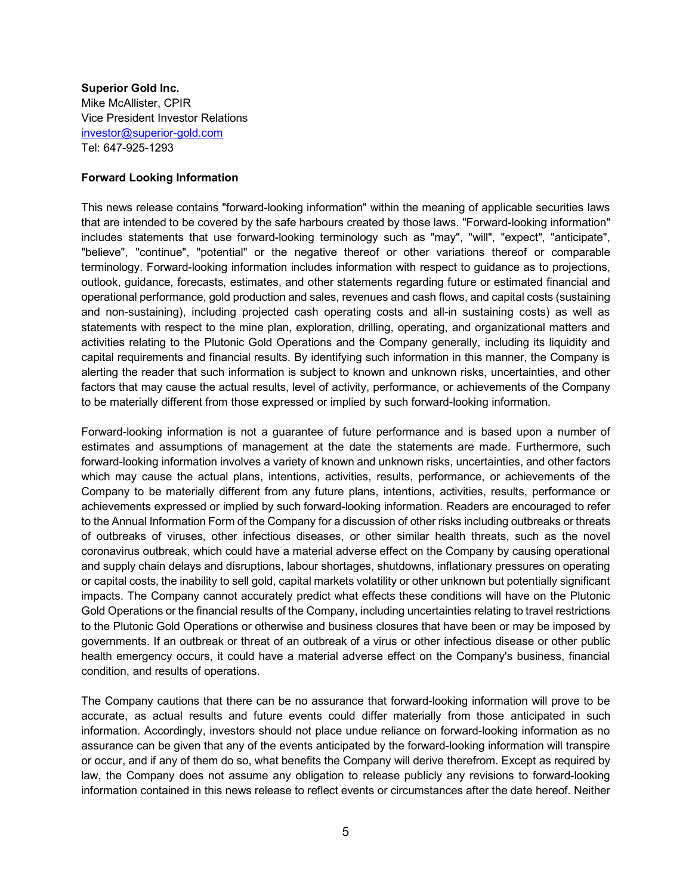# **Superior Gold Inc.** Mike McAllister, CPIR Vice President Investor Relations [investor@superior-gold.com](mailto:investor@superior-gold.com) Tel: 647-925-1293

### **Forward Looking Information**

This news release contains "forward-looking information" within the meaning of applicable securities laws that are intended to be covered by the safe harbours created by those laws. "Forward-looking information" includes statements that use forward-looking terminology such as "may", "will", "expect", "anticipate", "believe", "continue", "potential" or the negative thereof or other variations thereof or comparable terminology. Forward-looking information includes information with respect to guidance as to projections, outlook, guidance, forecasts, estimates, and other statements regarding future or estimated financial and operational performance, gold production and sales, revenues and cash flows, and capital costs (sustaining and non-sustaining), including projected cash operating costs and all-in sustaining costs) as well as statements with respect to the mine plan, exploration, drilling, operating, and organizational matters and activities relating to the Plutonic Gold Operations and the Company generally, including its liquidity and capital requirements and financial results. By identifying such information in this manner, the Company is alerting the reader that such information is subject to known and unknown risks, uncertainties, and other factors that may cause the actual results, level of activity, performance, or achievements of the Company to be materially different from those expressed or implied by such forward-looking information.

Forward-looking information is not a guarantee of future performance and is based upon a number of estimates and assumptions of management at the date the statements are made. Furthermore, such forward-looking information involves a variety of known and unknown risks, uncertainties, and other factors which may cause the actual plans, intentions, activities, results, performance, or achievements of the Company to be materially different from any future plans, intentions, activities, results, performance or achievements expressed or implied by such forward-looking information. Readers are encouraged to refer to the Annual Information Form of the Company for a discussion of other risks including outbreaks or threats of outbreaks of viruses, other infectious diseases, or other similar health threats, such as the novel coronavirus outbreak, which could have a material adverse effect on the Company by causing operational and supply chain delays and disruptions, labour shortages, shutdowns, inflationary pressures on operating or capital costs, the inability to sell gold, capital markets volatility or other unknown but potentially significant impacts. The Company cannot accurately predict what effects these conditions will have on the Plutonic Gold Operations or the financial results of the Company, including uncertainties relating to travel restrictions to the Plutonic Gold Operations or otherwise and business closures that have been or may be imposed by governments. If an outbreak or threat of an outbreak of a virus or other infectious disease or other public health emergency occurs, it could have a material adverse effect on the Company's business, financial condition, and results of operations.

The Company cautions that there can be no assurance that forward-looking information will prove to be accurate, as actual results and future events could differ materially from those anticipated in such information. Accordingly, investors should not place undue reliance on forward-looking information as no assurance can be given that any of the events anticipated by the forward-looking information will transpire or occur, and if any of them do so, what benefits the Company will derive therefrom. Except as required by law, the Company does not assume any obligation to release publicly any revisions to forward-looking information contained in this news release to reflect events or circumstances after the date hereof. Neither